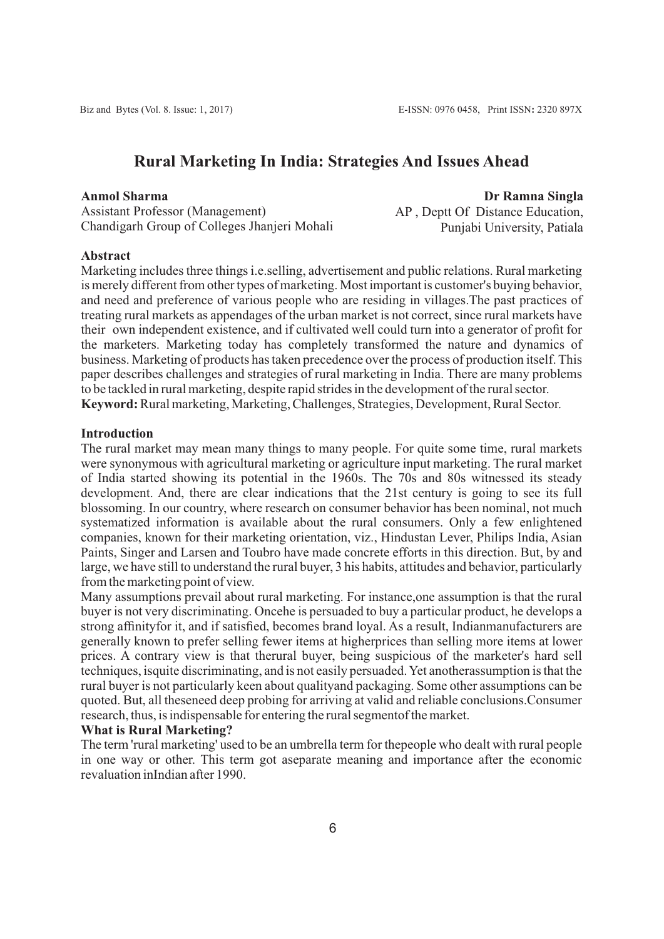# **Rural Marketing In India: Strategies And Issues Ahead**

#### **Anmol Sharma**

Assistant Professor (Management) Chandigarh Group of Colleges Jhanjeri Mohali

**Dr Ramna Singla** AP , Deptt Of Distance Education, Punjabi University, Patiala

#### **Abstract**

Marketing includes three things i.e.selling, advertisement and public relations. Rural marketing is merely different from other types of marketing. Most important is customer's buying behavior, and need and preference of various people who are residing in villages.The past practices of treating rural markets as appendages of the urban market is not correct, since rural markets have their own independent existence, and if cultivated well could turn into a generator of profit for the marketers. Marketing today has completely transformed the nature and dynamics of business. Marketing of products has taken precedence over the process of production itself. This paper describes challenges and strategies of rural marketing in India. There are many problems to be tackled in rural marketing, despite rapid strides in the development of the rural sector. **Keyword:**Rural marketing, Marketing, Challenges, Strategies, Development, Rural Sector.

### **Introduction**

The rural market may mean many things to many people. For quite some time, rural markets were synonymous with agricultural marketing or agriculture input marketing. The rural market of India started showing its potential in the 1960s. The 70s and 80s witnessed its steady development. And, there are clear indications that the 21st century is going to see its full blossoming. In our country, where research on consumer behavior has been nominal, not much systematized information is available about the rural consumers. Only a few enlightened companies, known for their marketing orientation, viz., Hindustan Lever, Philips India, Asian Paints, Singer and Larsen and Toubro have made concrete efforts in this direction. But, by and large, we have still to understand the rural buyer, 3 his habits, attitudes and behavior, particularly from the marketing point of view.

Many assumptions prevail about rural marketing. For instance,one assumption is that the rural buyer is not very discriminating. Oncehe is persuaded to buy a particular product, he develops a strong affinityfor it, and if satisfied, becomes brand loyal. As a result, Indianmanufacturers are generally known to prefer selling fewer items at higherprices than selling more items at lower prices. A contrary view is that therural buyer, being suspicious of the marketer's hard sell techniques, isquite discriminating, and is not easily persuaded. Yet anotherassumption is that the rural buyer is not particularly keen about qualityand packaging. Some other assumptions can be quoted. But, all theseneed deep probing for arriving at valid and reliable conclusions.Consumer research, thus, is indispensable for entering the rural segmentof the market.

### **What is Rural Marketing?**

The term 'rural marketing' used to be an umbrella term for thepeople who dealt with rural people in one way or other. This term got aseparate meaning and importance after the economic revaluation inIndian after 1990.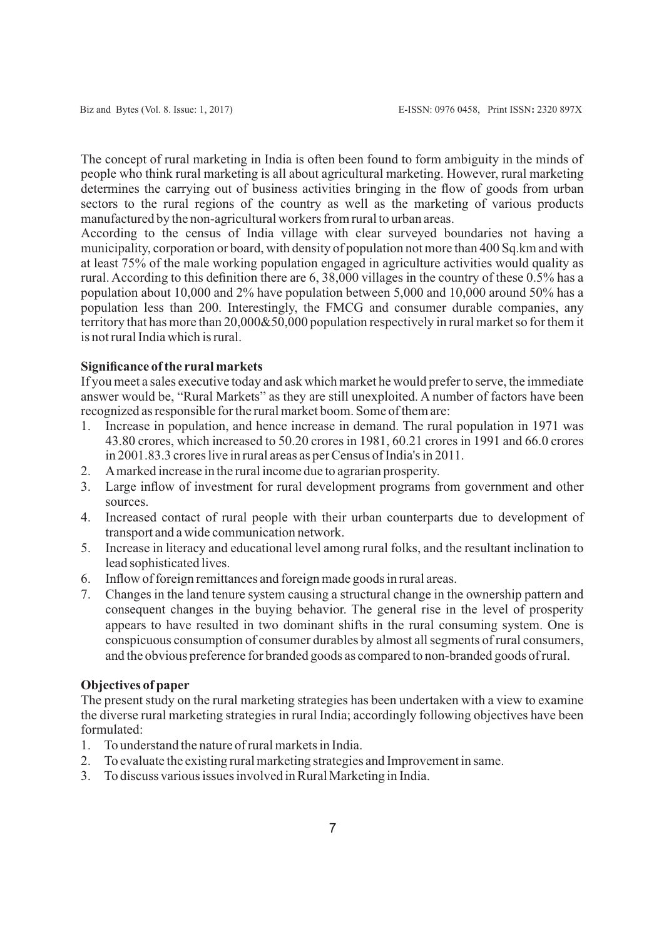The concept of rural marketing in India is often been found to form ambiguity in the minds of people who think rural marketing is all about agricultural marketing. However, rural marketing determines the carrying out of business activities bringing in the flow of goods from urban sectors to the rural regions of the country as well as the marketing of various products manufactured by the non-agricultural workers from rural to urban areas.

According to the census of India village with clear surveyed boundaries not having a municipality, corporation or board, with density of population not more than 400 Sq.km and with at least 75% of the male working population engaged in agriculture activities would quality as rural. According to this definition there are 6, 38,000 villages in the country of these 0.5% has a population about 10,000 and 2% have population between 5,000 and 10,000 around 50% has a population less than 200. Interestingly, the FMCG and consumer durable companies, any territory that has more than 20,000&50,000 population respectively in rural market so for them it is not rural India which is rural.

# **Significance of the rural markets**

If you meet a sales executive today and ask which market he would prefer to serve, the immediate answer would be, "Rural Markets" as they are still unexploited. A number of factors have been recognized as responsible for the rural market boom. Some of them are:

- 1. Increase in population, and hence increase in demand. The rural population in 1971 was 43.80 crores, which increased to 50.20 crores in 1981, 60.21 crores in 1991 and 66.0 crores in 2001.83.3 crores live in rural areas as per Census of India's in 2011.
- 2. Amarked increase in the rural income due to agrarian prosperity.
- 3. Large inflow of investment for rural development programs from government and other sources.
- 4. Increased contact of rural people with their urban counterparts due to development of transport and a wide communication network.
- 5. Increase in literacy and educational level among rural folks, and the resultant inclination to lead sophisticated lives.
- 6. Inflow of foreign remittances and foreign made goods in rural areas.
- 7. Changes in the land tenure system causing a structural change in the ownership pattern and consequent changes in the buying behavior. The general rise in the level of prosperity appears to have resulted in two dominant shifts in the rural consuming system. One is conspicuous consumption of consumer durables by almost all segments of rural consumers, and the obvious preference for branded goods as compared to non-branded goods of rural.

# **Objectives of paper**

The present study on the rural marketing strategies has been undertaken with a view to examine the diverse rural marketing strategies in rural India; accordingly following objectives have been formulated:

- 1. To understand the nature of rural markets in India.
- 2. To evaluate the existing rural marketing strategies and Improvement in same.
- 3. To discuss various issues involved in Rural Marketing in India.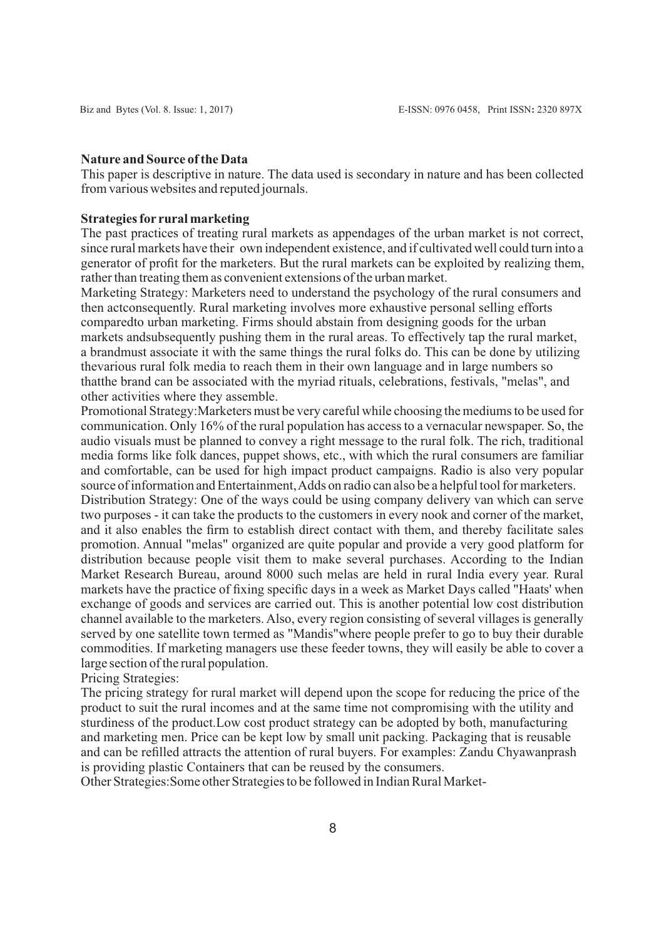#### **Nature and Source of the Data**

This paper is descriptive in nature. The data used is secondary in nature and has been collected from various websites and reputed journals.

### **Strategies for rural marketing**

The past practices of treating rural markets as appendages of the urban market is not correct, since rural markets have their own independent existence, and if cultivated well could turn into a generator of profit for the marketers. But the rural markets can be exploited by realizing them, rather than treating them as convenient extensions of the urban market.

Marketing Strategy: Marketers need to understand the psychology of the rural consumers and then actconsequently. Rural marketing involves more exhaustive personal selling efforts comparedto urban marketing. Firms should abstain from designing goods for the urban markets and subsequently pushing them in the rural areas. To effectively tap the rural market, a brandmust associate it with the same things the rural folks do. This can be done by utilizing thevarious rural folk media to reach them in their own language and in large numbers so thatthe brand can be associated with the myriad rituals, celebrations, festivals, "melas", and other activities where they assemble.

Promotional Strategy:Marketers must be very careful while choosing the mediums to be used for communication. Only 16% of the rural population has access to a vernacular newspaper. So, the audio visuals must be planned to convey a right message to the rural folk. The rich, traditional media forms like folk dances, puppet shows, etc., with which the rural consumers are familiar and comfortable, can be used for high impact product campaigns. Radio is also very popular source of information and Entertainment, Adds on radio can also be a helpful tool for marketers.

Distribution Strategy: One of the ways could be using company delivery van which can serve two purposes - it can take the products to the customers in every nook and corner of the market, and it also enables the firm to establish direct contact with them, and thereby facilitate sales promotion. Annual "melas" organized are quite popular and provide a very good platform for distribution because people visit them to make several purchases. According to the Indian Market Research Bureau, around 8000 such melas are held in rural India every year. Rural markets have the practice of fixing specific days in a week as Market Days called "Haats' when exchange of goods and services are carried out. This is another potential low cost distribution channel available to the marketers. Also, every region consisting of several villages is generally served by one satellite town termed as "Mandis"where people prefer to go to buy their durable commodities. If marketing managers use these feeder towns, they will easily be able to cover a large section of the rural population.

Pricing Strategies:

The pricing strategy for rural market will depend upon the scope for reducing the price of the product to suit the rural incomes and at the same time not compromising with the utility and sturdiness of the product.Low cost product strategy can be adopted by both, manufacturing and marketing men. Price can be kept low by small unit packing. Packaging that is reusable and can be refilled attracts the attention of rural buyers. For examples: Zandu Chyawanprash is providing plastic Containers that can be reused by the consumers.

Other Strategies:Some other Strategies to be followed in Indian Rural Market-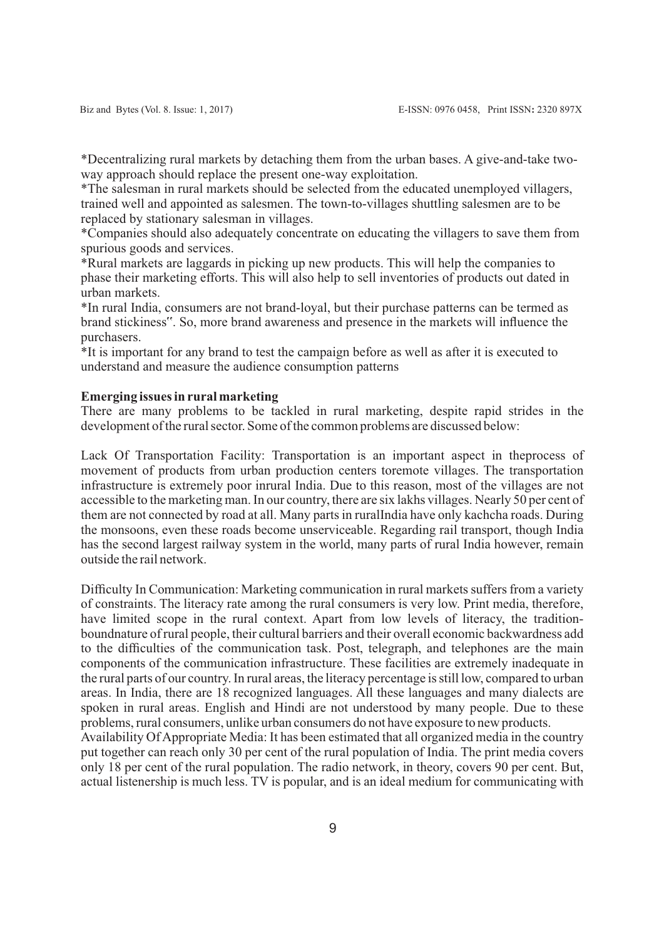\*Decentralizing rural markets by detaching them from the urban bases. A give-and-take twoway approach should replace the present one-way exploitation.

\*The salesman in rural markets should be selected from the educated unemployed villagers, trained well and appointed as salesmen. The town-to-villages shuttling salesmen are to be replaced by stationary salesman in villages.

\*Companies should also adequately concentrate on educating the villagers to save them from spurious goods and services.

\*Rural markets are laggards in picking up new products. This will help the companies to phase their marketing efforts. This will also help to sell inventories of products out dated in urban markets.

\*In rural India, consumers are not brand-loyal, but their purchase patterns can be termed as brand stickiness". So, more brand awareness and presence in the markets will influence the purchasers.

\*It is important for any brand to test the campaign before as well as after it is executed to understand and measure the audience consumption patterns

## **Emerging issues in rural marketing**

There are many problems to be tackled in rural marketing, despite rapid strides in the development of the rural sector. Some of the common problems are discussed below:

Lack Of Transportation Facility: Transportation is an important aspect in theprocess of movement of products from urban production centers toremote villages. The transportation infrastructure is extremely poor inrural India. Due to this reason, most of the villages are not accessible to the marketing man. In our country, there are six lakhs villages. Nearly 50 per cent of them are not connected by road at all. Many parts in ruralIndia have only kachcha roads. During the monsoons, even these roads become unserviceable. Regarding rail transport, though India has the second largest railway system in the world, many parts of rural India however, remain outside the rail network.

Difficulty In Communication: Marketing communication in rural markets suffers from a variety of constraints. The literacy rate among the rural consumers is very low. Print media, therefore, have limited scope in the rural context. Apart from low levels of literacy, the traditionboundnature of rural people, their cultural barriers and their overall economic backwardness add to the difficulties of the communication task. Post, telegraph, and telephones are the main components of the communication infrastructure. These facilities are extremely inadequate in the rural parts of our country. In rural areas, the literacy percentage is still low, compared to urban areas. In India, there are 18 recognized languages. All these languages and many dialects are spoken in rural areas. English and Hindi are not understood by many people. Due to these problems, rural consumers, unlike urban consumers do not have exposure to new products.

Availability Of Appropriate Media: It has been estimated that all organized media in the country put together can reach only 30 per cent of the rural population of India. The print media covers only 18 per cent of the rural population. The radio network, in theory, covers 90 per cent. But, actual listenership is much less. TV is popular, and is an ideal medium for communicating with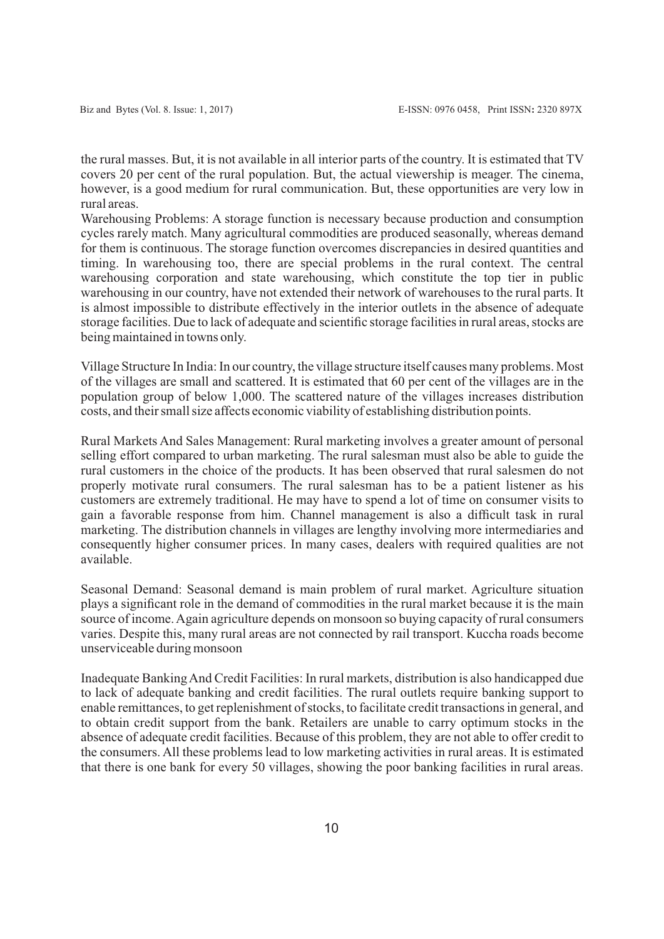the rural masses. But, it is not available in all interior parts of the country. It is estimated that TV covers 20 per cent of the rural population. But, the actual viewership is meager. The cinema, however, is a good medium for rural communication. But, these opportunities are very low in rural areas.

Warehousing Problems: A storage function is necessary because production and consumption cycles rarely match. Many agricultural commodities are produced seasonally, whereas demand for them is continuous. The storage function overcomes discrepancies in desired quantities and timing. In warehousing too, there are special problems in the rural context. The central warehousing corporation and state warehousing, which constitute the top tier in public warehousing in our country, have not extended their network of warehouses to the rural parts. It is almost impossible to distribute effectively in the interior outlets in the absence of adequate storage facilities. Due to lack of adequate and scientific storage facilities in rural areas, stocks are being maintained in towns only.

Village Structure In India: In our country, the village structure itself causes many problems. Most of the villages are small and scattered. It is estimated that 60 per cent of the villages are in the population group of below 1,000. The scattered nature of the villages increases distribution costs, and their small size affects economic viability of establishing distribution points.

Rural Markets And Sales Management: Rural marketing involves a greater amount of personal selling effort compared to urban marketing. The rural salesman must also be able to guide the rural customers in the choice of the products. It has been observed that rural salesmen do not properly motivate rural consumers. The rural salesman has to be a patient listener as his customers are extremely traditional. He may have to spend a lot of time on consumer visits to gain a favorable response from him. Channel management is also a difficult task in rural marketing. The distribution channels in villages are lengthy involving more intermediaries and consequently higher consumer prices. In many cases, dealers with required qualities are not available.

Seasonal Demand: Seasonal demand is main problem of rural market. Agriculture situation plays a significant role in the demand of commodities in the rural market because it is the main source of income. Again agriculture depends on monsoon so buying capacity of rural consumers varies. Despite this, many rural areas are not connected by rail transport. Kuccha roads become unserviceable during monsoon

Inadequate Banking And Credit Facilities: In rural markets, distribution is also handicapped due to lack of adequate banking and credit facilities. The rural outlets require banking support to enable remittances, to get replenishment of stocks, to facilitate credit transactions in general, and to obtain credit support from the bank. Retailers are unable to carry optimum stocks in the absence of adequate credit facilities. Because of this problem, they are not able to offer credit to the consumers. All these problems lead to low marketing activities in rural areas. It is estimated that there is one bank for every 50 villages, showing the poor banking facilities in rural areas.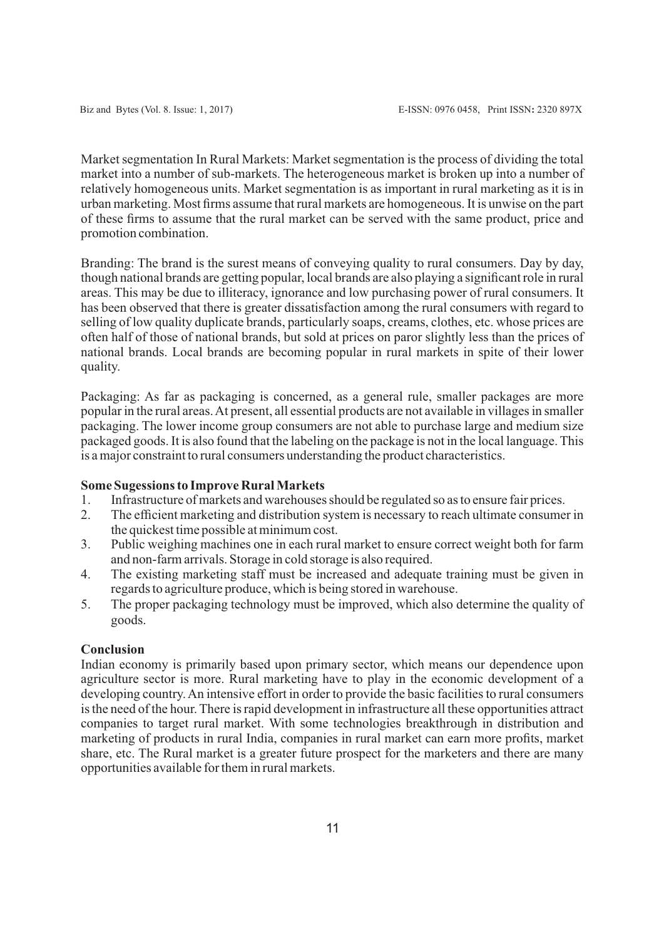Market segmentation In Rural Markets: Market segmentation is the process of dividing the total market into a number of sub-markets. The heterogeneous market is broken up into a number of relatively homogeneous units. Market segmentation is as important in rural marketing as it is in urban marketing. Most firms assume that rural markets are homogeneous. It is unwise on the part of these firms to assume that the rural market can be served with the same product, price and promotion combination.

Branding: The brand is the surest means of conveying quality to rural consumers. Day by day, though national brands are getting popular, local brands are also playing a significant role in rural areas. This may be due to illiteracy, ignorance and low purchasing power of rural consumers. It has been observed that there is greater dissatisfaction among the rural consumers with regard to selling of low quality duplicate brands, particularly soaps, creams, clothes, etc. whose prices are often half of those of national brands, but sold at prices on paror slightly less than the prices of national brands. Local brands are becoming popular in rural markets in spite of their lower quality.

Packaging: As far as packaging is concerned, as a general rule, smaller packages are more popular in the rural areas. At present, all essential products are not available in villages in smaller packaging. The lower income group consumers are not able to purchase large and medium size packaged goods. It is also found that the labeling on the package is not in the local language. This is a major constraint to rural consumers understanding the product characteristics.

# **Some Sugessions to Improve Rural Markets**

- 1. Infrastructure of markets and warehouses should be regulated so as to ensure fair prices.
- 2. The efficient marketing and distribution system is necessary to reach ultimate consumer in the quickest time possible at minimum cost.
- 3. Public weighing machines one in each rural market to ensure correct weight both for farm and non-farm arrivals. Storage in cold storage is also required.
- 4. The existing marketing staff must be increased and adequate training must be given in regards to agriculture produce, which is being stored in warehouse.
- 5. The proper packaging technology must be improved, which also determine the quality of goods.

# **Conclusion**

Indian economy is primarily based upon primary sector, which means our dependence upon agriculture sector is more. Rural marketing have to play in the economic development of a developing country. An intensive effort in order to provide the basic facilities to rural consumers is the need of the hour. There is rapid development in infrastructure all these opportunities attract companies to target rural market. With some technologies breakthrough in distribution and marketing of products in rural India, companies in rural market can earn more profits, market share, etc. The Rural market is a greater future prospect for the marketers and there are many opportunities available for them in rural markets.